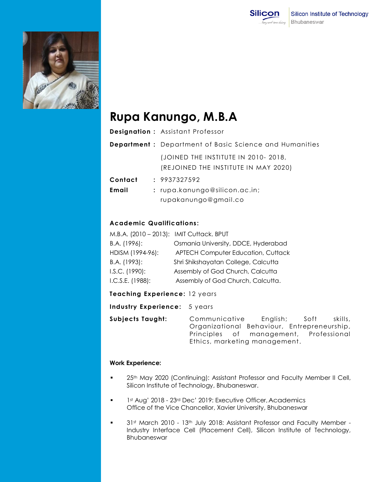



## **Rupa Kanungo, M.B.A**

|         | <b>Designation:</b> Assistant Professor                        |
|---------|----------------------------------------------------------------|
|         | <b>Department</b> : Department of Basic Science and Humanities |
|         | (JOINED THE INSTITUTE IN 2010-2018,                            |
|         | (REJOINED THE INSTITUTE IN MAY 2020)                           |
| Contact | : 9937327592                                                   |
| Email   | $:$ rupa.kanungo@silicon.ac.in;                                |
|         | rupakanungo@gmail.co                                           |

## **Academic Qualifications :**

| M.B.A. (2010 - 2013): IMIT Cuttack. BPUT |                                           |
|------------------------------------------|-------------------------------------------|
| B.A. (1996):                             | Osmania University, DDCE, Hyderabad       |
| HDISM (1994-96):                         | <b>APTECH Computer Education, Cuttack</b> |
| B.A. (1993):                             | Shri Shikshayatan College, Calcutta       |
| I.S.C. (1990):                           | Assembly of God Church, Calcutta          |
| I.C.S.E. (1988):                         | Assembly of God Church, Calcutta.         |

**Teaching Experience:** 12 years

**Industry Experience:** 5 years

**Subjects Taught:** Communicative English; Soft skills, Organizational Behaviour, Entrepreneurship, Principles of management, Professional Ethics, marketing management.

## **Work Experience:**

- 25<sup>th</sup> May 2020 (Continuing): Assistant Professor and Faculty Member II Cell, Silicon Institute of Technology, Bhubaneswar.
- 1st Aug' 2018 23rd Dec' 2019: Executive Officer, Academics Office of the Vice Chancellor, Xavier University, Bhubaneswar
- 31st March 2010 13th July 2018: Assistant Professor and Faculty Member -Industry Interface Cell (Placement Cell), Silicon Institute of Technology, Bhubaneswar